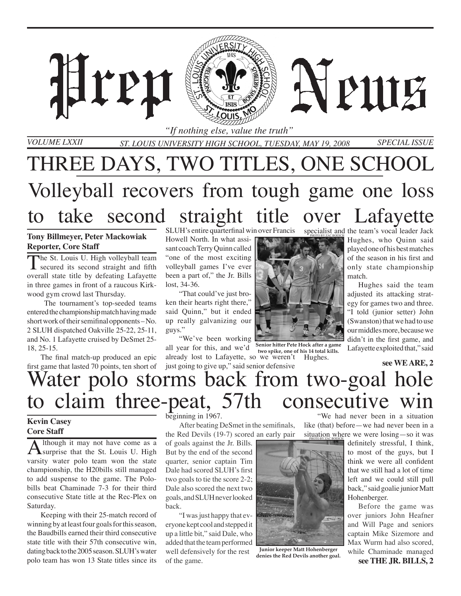

THREE DAYS, TWO TITLES, ONE SCHOOL Volleyball recovers from tough game one loss to take second straight title over Lafayette

#### **Tony Billmeyer, Peter Mackowiak Reporter, Core Staff**

The St. Louis U. High volleyball team<br>secured its second straight and fifth overall state title by defeating Lafayette in three games in front of a raucous Kirkwood gym crowd last Thursday.

 The tournament's top-seeded teams entered the championship match having made short work of their semifinal opponents – No. 2 SLUH dispatched Oakville 25-22, 25-11, and No. 1 Lafayette cruised by DeSmet 25- 18, 25-15.

The final match-up produced an epic first game that lasted 70 points, ten short of SLUH's entire quarterfinal win over Francis

Howell North. In what assisant coach Terry Quinn called "one of the most exciting volleyball games I've ever been a part of," the Jr. Bills lost, 34-36.

"That could've just broken their hearts right there," said Quinn," but it ended up really galvanizing our guys."

"We've been working all year for this, and we'd already lost to Lafayette, so we weren't Hughes. just going to give up," said senior defensive **Senior hitter Pete Hock after a game two spike, one of his 14 total kills.** 

specialist and the team's vocal leader Jack Hughes, who Quinn said played one of his best matches of the season in his first and only state championship match.

> Hughes said the team adjusted its attacking strategy for games two and three. "I told (junior setter) John (Swanston) that we had to use our middles more, because we didn't in the first game, and Lafayette exploited that," said

> > **see WE ARE, 2**

# Water polo storms back from two-goal hole claim three-peat, 57th consecutive win "We had never been in a situation

### **Kevin Casey Core Staff**

Although it may not have come as a subset of the St. Louis U. High varsity water polo team won the state championship, the H20bills still managed to add suspense to the game. The Polobills beat Chaminade 7-3 for their third consecutive State title at the Rec-Plex on Saturday.

Keeping with their 25-match record of winning by at least four goals for this season, the Baudbills earned their third consecutive state title with their 57th consecutive win, dating back to the 2005 season. SLUH's water polo team has won 13 State titles since its

beginning in 1967.

After beating DeSmet in the semifinals, the Red Devils (19-7) scored an early pair

of goals against the Jr. Bills. But by the end of the second quarter, senior captain Tim Dale had scored SLUH's first two goals to tie the score 2-2; Dale also scored the next two goals, and SLUH never looked back.

"I was just happy that everyone kept cool and stepped it up a little bit," said Dale, who added that the team performed well defensively for the rest of the game.

like (that) before—we had never been in a situation where we were losing—so it was PHOTO BY ZAC BOESCH

**Junior keeper Matt Hohenberger denies the Red Devils another goal.**

definitely stressful, I think, to most of the guys, but I think we were all confident that we still had a lot of time left and we could still pull back," said goalie junior Matt Hohenberger.

Before the game was over juniors John Heafner and Will Page and seniors captain Mike Sizemore and Max Wurm had also scored, while Chaminade managed **see THE JR. BILLS, 2**